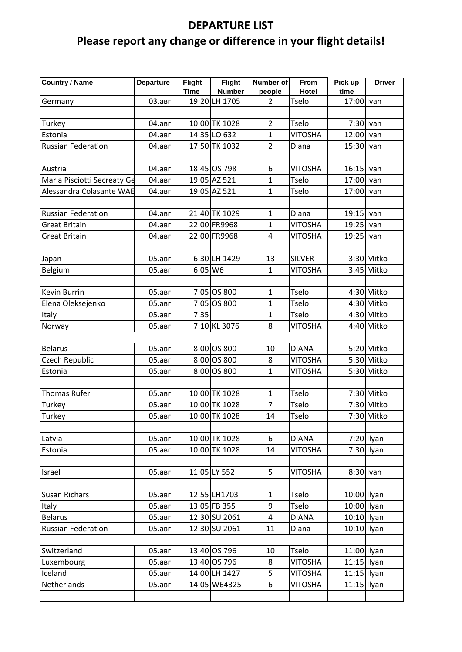## **DEPARTURE LIST**

## **Please report any change or difference in your flight details!**

| <b>Country / Name</b>       | <b>Departure</b> | Flight                | <b>Flight</b> | Number of               | From           | Pick up        | <b>Driver</b> |
|-----------------------------|------------------|-----------------------|---------------|-------------------------|----------------|----------------|---------------|
|                             |                  | <b>Time</b>           | <b>Number</b> | people                  | <b>Hotel</b>   | time           |               |
| Germany                     | 03.авг           |                       | 19:20LH 1705  | $\overline{2}$          | Tselo          | 17:00 Ivan     |               |
|                             |                  |                       |               |                         |                |                |               |
| Turkey                      | 04.авг           |                       | 10:00 TK 1028 | $\overline{2}$          | Tselo          |                | 7:30 Ivan     |
| Estonia                     | 04.авг           |                       | 14:35 LO 632  | $\mathbf{1}$            | <b>VITOSHA</b> | 12:00 Ivan     |               |
| <b>Russian Federation</b>   | 04.авг           |                       | 17:50 TK 1032 | $\overline{2}$          | Diana          | 15:30 Ivan     |               |
|                             |                  |                       |               |                         |                |                |               |
| Austria                     | 04.авг           |                       | 18:45 OS 798  | 6                       | <b>VITOSHA</b> | 16:15 Ivan     |               |
| Maria Pisciotti Secreaty Ge | 04.авг           |                       | 19:05 AZ 521  | 1                       | Tselo          | 17:00 Ivan     |               |
| Alessandra Colasante WAE    | 04.авг           |                       | 19:05 AZ 521  | $\mathbf{1}$            | Tselo          | 17:00 Ivan     |               |
|                             |                  |                       |               |                         |                |                |               |
| <b>Russian Federation</b>   | 04.авг           |                       | 21:40 TK 1029 | $\mathbf{1}$            | Diana          | 19:15 Ivan     |               |
| Great Britain               | 04.авг           |                       | 22:00 FR9968  | $\mathbf{1}$            | <b>VITOSHA</b> | 19:25 Ivan     |               |
| Great Britain               | 04.авг           |                       | 22:00 FR9968  | $\overline{4}$          | <b>VITOSHA</b> | 19:25 Ivan     |               |
|                             |                  |                       |               |                         |                |                |               |
| Japan                       | 05.авг           |                       | 6:30 LH 1429  | 13                      | <b>SILVER</b>  |                | 3:30 Mitko    |
| Belgium                     | 05.авг           | $6:05$ W <sub>6</sub> |               | $\mathbf{1}$            | <b>VITOSHA</b> |                | 3:45 Mitko    |
|                             |                  |                       |               |                         |                |                |               |
| <b>Kevin Burrin</b>         | 05.авг           |                       | 7:05 OS 800   | $\mathbf{1}$            | Tselo          |                | 4:30 Mitko    |
| Elena Oleksejenko           | 05.авг           |                       | 7:05 OS 800   | $\mathbf{1}$            | Tselo          |                | 4:30 Mitko    |
| Italy                       | 05.авг           | 7:35                  |               | $\mathbf{1}$            | Tselo          |                | 4:30 Mitko    |
| Norway                      | 05.авг           |                       | 7:10 KL 3076  | 8                       | <b>VITOSHA</b> |                | 4:40 Mitko    |
|                             |                  |                       |               |                         |                |                |               |
| <b>Belarus</b>              | 05.авг           |                       | 8:00 OS 800   | 10                      | <b>DIANA</b>   |                | 5:20 Mitko    |
| Czech Republic              | 05.авг           |                       | 8:00 OS 800   | 8                       | <b>VITOSHA</b> |                | 5:30 Mitko    |
| Estonia                     | 05.авг           |                       | 8:00 OS 800   | $\mathbf{1}$            | <b>VITOSHA</b> |                | 5:30 Mitko    |
|                             |                  |                       |               |                         |                |                |               |
| Thomas Rufer                | 05.авг           |                       | 10:00 TK 1028 | $\mathbf{1}$            | Tselo          |                | 7:30 Mitko    |
| Turkey                      | 05.aBr           |                       | 10:00 TK 1028 | $\overline{7}$          | Tselo          |                | 7:30 Mitko    |
| Turkey                      | 05.aBr           |                       | 10:00 TK 1028 | 14                      | Tselo          |                | 7:30 Mitko    |
| Latvia                      | 05.aBr           |                       | 10:00 TK 1028 | 6                       | <b>DIANA</b>   |                | 7:20 Ilyan    |
| Estonia                     | 05.авг           |                       | 10:00 TK 1028 | 14                      | <b>VITOSHA</b> |                | 7:30 Ilyan    |
|                             |                  |                       |               |                         |                |                |               |
| Israel                      | 05.авг           |                       | 11:05 LY 552  | 5                       | <b>VITOSHA</b> |                | 8:30 Ivan     |
|                             |                  |                       |               |                         |                |                |               |
| <b>Susan Richars</b>        | 05.aBr           |                       | 12:55 LH1703  | $\mathbf{1}$            | Tselo          | 10:00 Ilyan    |               |
| Italy                       | 05.авг           |                       | 13:05 FB 355  | 9                       | Tselo          | 10:00 Ilyan    |               |
| <b>Belarus</b>              | 05.авг           |                       | 12:30 SU 2061 | $\overline{\mathbf{4}}$ | <b>DIANA</b>   | 10:10 Ilyan    |               |
| <b>Russian Federation</b>   | 05.aBr           |                       | 12:30 SU 2061 | 11                      | Diana          | 10:10 Ilyan    |               |
|                             |                  |                       |               |                         |                |                |               |
| Switzerland                 | 05.авг           |                       | 13:40 OS 796  | 10                      | Tselo          | 11:00 Ilyan    |               |
| Luxembourg                  | 05.aBr           |                       | 13:40 OS 796  | 8                       | <b>VITOSHA</b> | $11:15$ Ilyan  |               |
| Iceland                     | 05.авг           |                       | 14:00 LH 1427 | 5                       | <b>VITOSHA</b> | $11:15$  llyan |               |
| Netherlands                 | 05.авг           |                       | 14:05 W64325  | 6                       | <b>VITOSHA</b> | $11:15$  llyan |               |
|                             |                  |                       |               |                         |                |                |               |
|                             |                  |                       |               |                         |                |                |               |